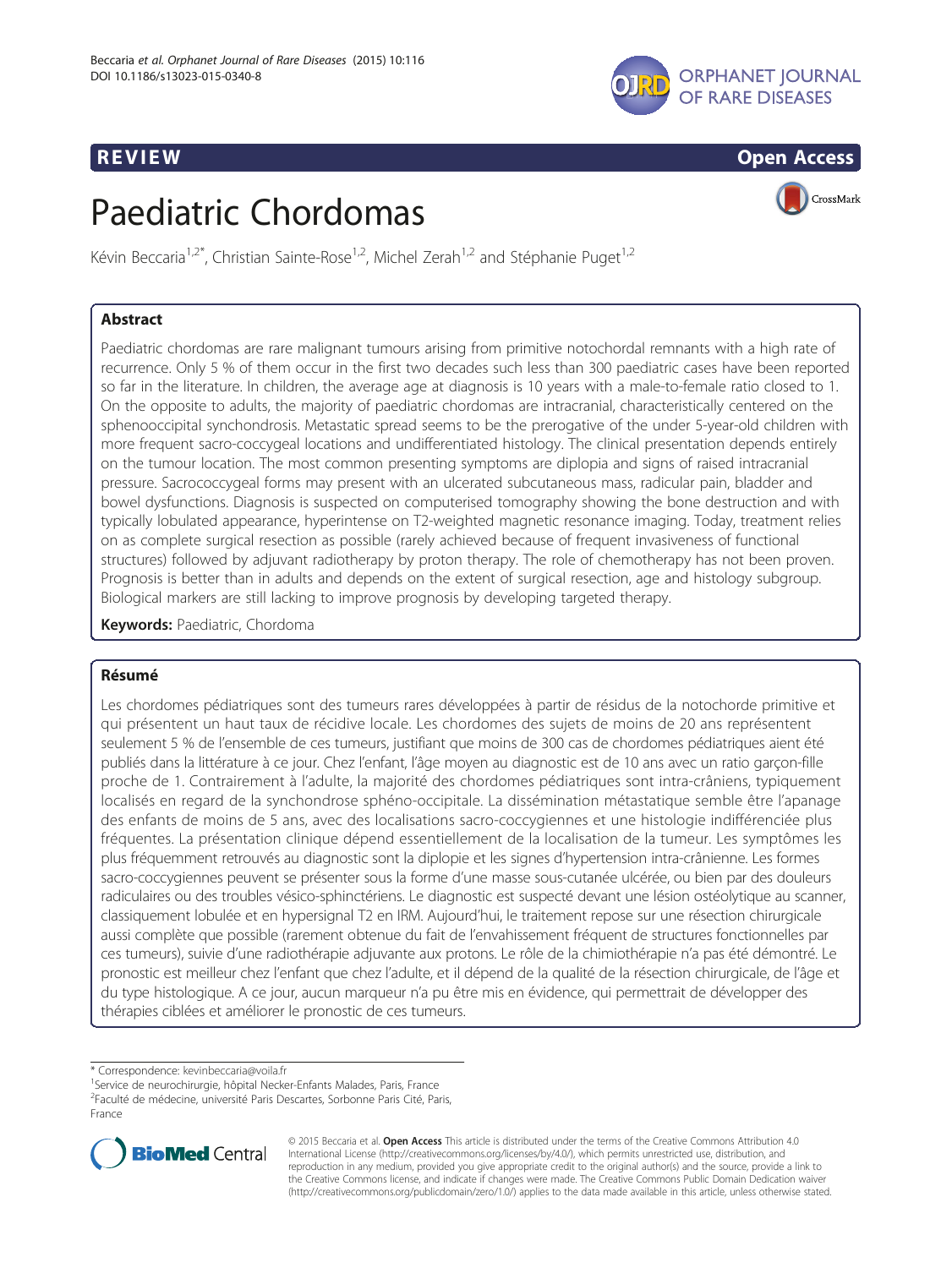

# **REVIEW CONSTRUCTION CONSTRUCTION CONSTRUCTS**

# Paediatric Chordomas



Kévin Beccaria<sup>1,2\*</sup>, Christian Sainte-Rose<sup>1,2</sup>, Michel Zerah<sup>1,2</sup> and Stéphanie Puget<sup>1,2</sup>

# Abstract

Paediatric chordomas are rare malignant tumours arising from primitive notochordal remnants with a high rate of recurrence. Only 5 % of them occur in the first two decades such less than 300 paediatric cases have been reported so far in the literature. In children, the average age at diagnosis is 10 years with a male-to-female ratio closed to 1. On the opposite to adults, the majority of paediatric chordomas are intracranial, characteristically centered on the sphenooccipital synchondrosis. Metastatic spread seems to be the prerogative of the under 5-year-old children with more frequent sacro-coccygeal locations and undifferentiated histology. The clinical presentation depends entirely on the tumour location. The most common presenting symptoms are diplopia and signs of raised intracranial pressure. Sacrococcygeal forms may present with an ulcerated subcutaneous mass, radicular pain, bladder and bowel dysfunctions. Diagnosis is suspected on computerised tomography showing the bone destruction and with typically lobulated appearance, hyperintense on T2-weighted magnetic resonance imaging. Today, treatment relies on as complete surgical resection as possible (rarely achieved because of frequent invasiveness of functional structures) followed by adjuvant radiotherapy by proton therapy. The role of chemotherapy has not been proven. Prognosis is better than in adults and depends on the extent of surgical resection, age and histology subgroup. Biological markers are still lacking to improve prognosis by developing targeted therapy.

Keywords: Paediatric, Chordoma

# Résumé

Les chordomes pédiatriques sont des tumeurs rares développées à partir de résidus de la notochorde primitive et qui présentent un haut taux de récidive locale. Les chordomes des sujets de moins de 20 ans représentent seulement 5 % de l'ensemble de ces tumeurs, justifiant que moins de 300 cas de chordomes pédiatriques aient été publiés dans la littérature à ce jour. Chez l'enfant, l'âge moyen au diagnostic est de 10 ans avec un ratio garçon-fille proche de 1. Contrairement à l'adulte, la majorité des chordomes pédiatriques sont intra-crâniens, typiquement localisés en regard de la synchondrose sphéno-occipitale. La dissémination métastatique semble être l'apanage des enfants de moins de 5 ans, avec des localisations sacro-coccygiennes et une histologie indifférenciée plus fréquentes. La présentation clinique dépend essentiellement de la localisation de la tumeur. Les symptômes les plus fréquemment retrouvés au diagnostic sont la diplopie et les signes d'hypertension intra-crânienne. Les formes sacro-coccygiennes peuvent se présenter sous la forme d'une masse sous-cutanée ulcérée, ou bien par des douleurs radiculaires ou des troubles vésico-sphinctériens. Le diagnostic est suspecté devant une lésion ostéolytique au scanner, classiquement lobulée et en hypersignal T2 en IRM. Aujourd'hui, le traitement repose sur une résection chirurgicale aussi complète que possible (rarement obtenue du fait de l'envahissement fréquent de structures fonctionnelles par ces tumeurs), suivie d'une radiothérapie adjuvante aux protons. Le rôle de la chimiothérapie n'a pas été démontré. Le pronostic est meilleur chez l'enfant que chez l'adulte, et il dépend de la qualité de la résection chirurgicale, de l'âge et du type histologique. A ce jour, aucun marqueur n'a pu être mis en évidence, qui permettrait de développer des thérapies ciblées et améliorer le pronostic de ces tumeurs.

\* Correspondence: [kevinbeccaria@voila.fr](mailto:kevinbeccaria@voila.fr) <sup>1</sup>

France



© 2015 Beccaria et al. Open Access This article is distributed under the terms of the Creative Commons Attribution 4.0 International License [\(http://creativecommons.org/licenses/by/4.0/](http://creativecommons.org/licenses/by/4.0/)), which permits unrestricted use, distribution, and reproduction in any medium, provided you give appropriate credit to the original author(s) and the source, provide a link to the Creative Commons license, and indicate if changes were made. The Creative Commons Public Domain Dedication waiver [\(http://creativecommons.org/publicdomain/zero/1.0/](http://creativecommons.org/publicdomain/zero/1.0/)) applies to the data made available in this article, unless otherwise stated.

<sup>&</sup>lt;sup>1</sup>Service de neurochirurgie, hôpital Necker-Enfants Malades, Paris, France

<sup>2</sup> Faculté de médecine, université Paris Descartes, Sorbonne Paris Cité, Paris,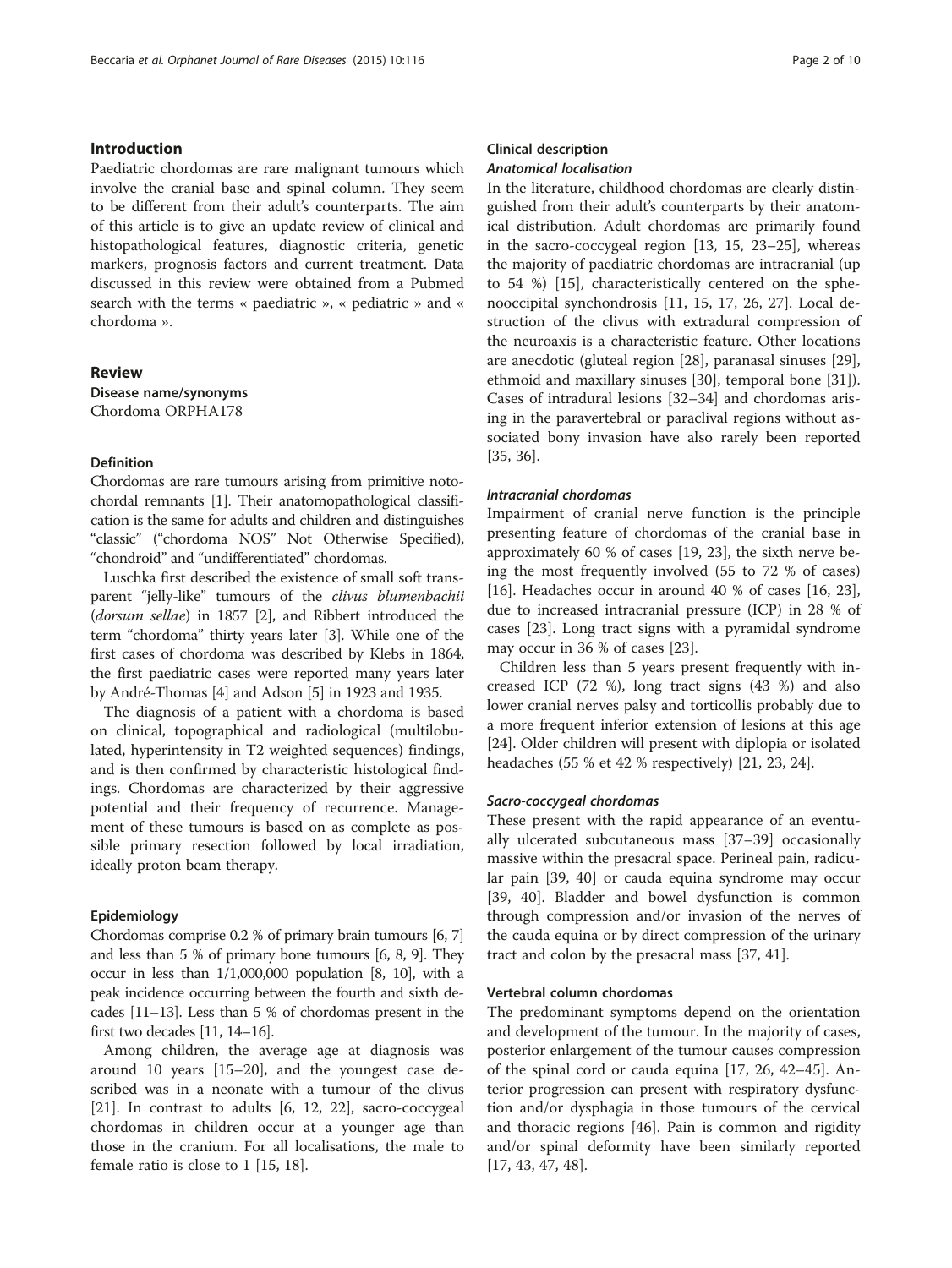# Introduction

Paediatric chordomas are rare malignant tumours which involve the cranial base and spinal column. They seem to be different from their adult's counterparts. The aim of this article is to give an update review of clinical and histopathological features, diagnostic criteria, genetic markers, prognosis factors and current treatment. Data discussed in this review were obtained from a Pubmed search with the terms « paediatric », « pediatric » and « chordoma ».

# Review

Disease name/synonyms Chordoma ORPHA178

# Definition

Chordomas are rare tumours arising from primitive notochordal remnants [\[1\]](#page-7-0). Their anatomopathological classification is the same for adults and children and distinguishes "classic" ("chordoma NOS" Not Otherwise Specified), "chondroid" and "undifferentiated" chordomas.

Luschka first described the existence of small soft transparent "jelly-like" tumours of the clivus blumenbachii (dorsum sellae) in 1857 [\[2](#page-7-0)], and Ribbert introduced the term "chordoma" thirty years later [[3](#page-7-0)]. While one of the first cases of chordoma was described by Klebs in 1864, the first paediatric cases were reported many years later by André-Thomas [\[4](#page-7-0)] and Adson [\[5](#page-7-0)] in 1923 and 1935.

The diagnosis of a patient with a chordoma is based on clinical, topographical and radiological (multilobulated, hyperintensity in T2 weighted sequences) findings, and is then confirmed by characteristic histological findings. Chordomas are characterized by their aggressive potential and their frequency of recurrence. Management of these tumours is based on as complete as possible primary resection followed by local irradiation, ideally proton beam therapy.

# Epidemiology

Chordomas comprise 0.2 % of primary brain tumours [\[6, 7](#page-7-0)] and less than 5 % of primary bone tumours [[6](#page-7-0), [8](#page-7-0), [9](#page-7-0)]. They occur in less than 1/1,000,000 population [[8](#page-7-0), [10](#page-7-0)], with a peak incidence occurring between the fourth and sixth decades [\[11](#page-7-0)–[13\]](#page-7-0). Less than 5 % of chordomas present in the first two decades [\[11](#page-7-0), [14](#page-7-0)–[16\]](#page-7-0).

Among children, the average age at diagnosis was around 10 years [[15](#page-7-0)–[20](#page-7-0)], and the youngest case described was in a neonate with a tumour of the clivus [[21\]](#page-7-0). In contrast to adults [[6, 12, 22\]](#page-7-0), sacro-coccygeal chordomas in children occur at a younger age than those in the cranium. For all localisations, the male to female ratio is close to 1 [[15, 18\]](#page-7-0).

# Clinical description Anatomical localisation

In the literature, childhood chordomas are clearly distinguished from their adult's counterparts by their anatomical distribution. Adult chordomas are primarily found in the sacro-coccygeal region [[13, 15](#page-7-0), [23](#page-7-0)–[25\]](#page-7-0), whereas the majority of paediatric chordomas are intracranial (up to 54 %) [\[15](#page-7-0)], characteristically centered on the sphenooccipital synchondrosis [\[11, 15, 17](#page-7-0), [26, 27\]](#page-7-0). Local destruction of the clivus with extradural compression of the neuroaxis is a characteristic feature. Other locations are anecdotic (gluteal region [\[28](#page-7-0)], paranasal sinuses [\[29](#page-7-0)], ethmoid and maxillary sinuses [[30\]](#page-7-0), temporal bone [\[31](#page-7-0)]). Cases of intradural lesions [[32](#page-7-0)–[34\]](#page-7-0) and chordomas arising in the paravertebral or paraclival regions without associated bony invasion have also rarely been reported [[35, 36\]](#page-7-0).

# Intracranial chordomas

Impairment of cranial nerve function is the principle presenting feature of chordomas of the cranial base in approximately 60 % of cases [\[19](#page-7-0), [23](#page-7-0)], the sixth nerve being the most frequently involved (55 to 72 % of cases) [[16\]](#page-7-0). Headaches occur in around 40 % of cases [[16, 23](#page-7-0)], due to increased intracranial pressure (ICP) in 28 % of cases [[23\]](#page-7-0). Long tract signs with a pyramidal syndrome may occur in 36 % of cases [[23\]](#page-7-0).

Children less than 5 years present frequently with increased ICP (72 %), long tract signs (43 %) and also lower cranial nerves palsy and torticollis probably due to a more frequent inferior extension of lesions at this age [[24\]](#page-7-0). Older children will present with diplopia or isolated headaches (55 % et 42 % respectively) [[21, 23, 24\]](#page-7-0).

# Sacro-coccygeal chordomas

These present with the rapid appearance of an eventually ulcerated subcutaneous mass [[37](#page-7-0)–[39](#page-7-0)] occasionally massive within the presacral space. Perineal pain, radicular pain [\[39](#page-7-0), [40](#page-7-0)] or cauda equina syndrome may occur [[39, 40\]](#page-7-0). Bladder and bowel dysfunction is common through compression and/or invasion of the nerves of the cauda equina or by direct compression of the urinary tract and colon by the presacral mass [\[37, 41\]](#page-7-0).

# Vertebral column chordomas

The predominant symptoms depend on the orientation and development of the tumour. In the majority of cases, posterior enlargement of the tumour causes compression of the spinal cord or cauda equina [[17, 26](#page-7-0), [42](#page-7-0)–[45\]](#page-7-0). Anterior progression can present with respiratory dysfunction and/or dysphagia in those tumours of the cervical and thoracic regions [\[46\]](#page-7-0). Pain is common and rigidity and/or spinal deformity have been similarly reported [[17, 43, 47, 48](#page-7-0)].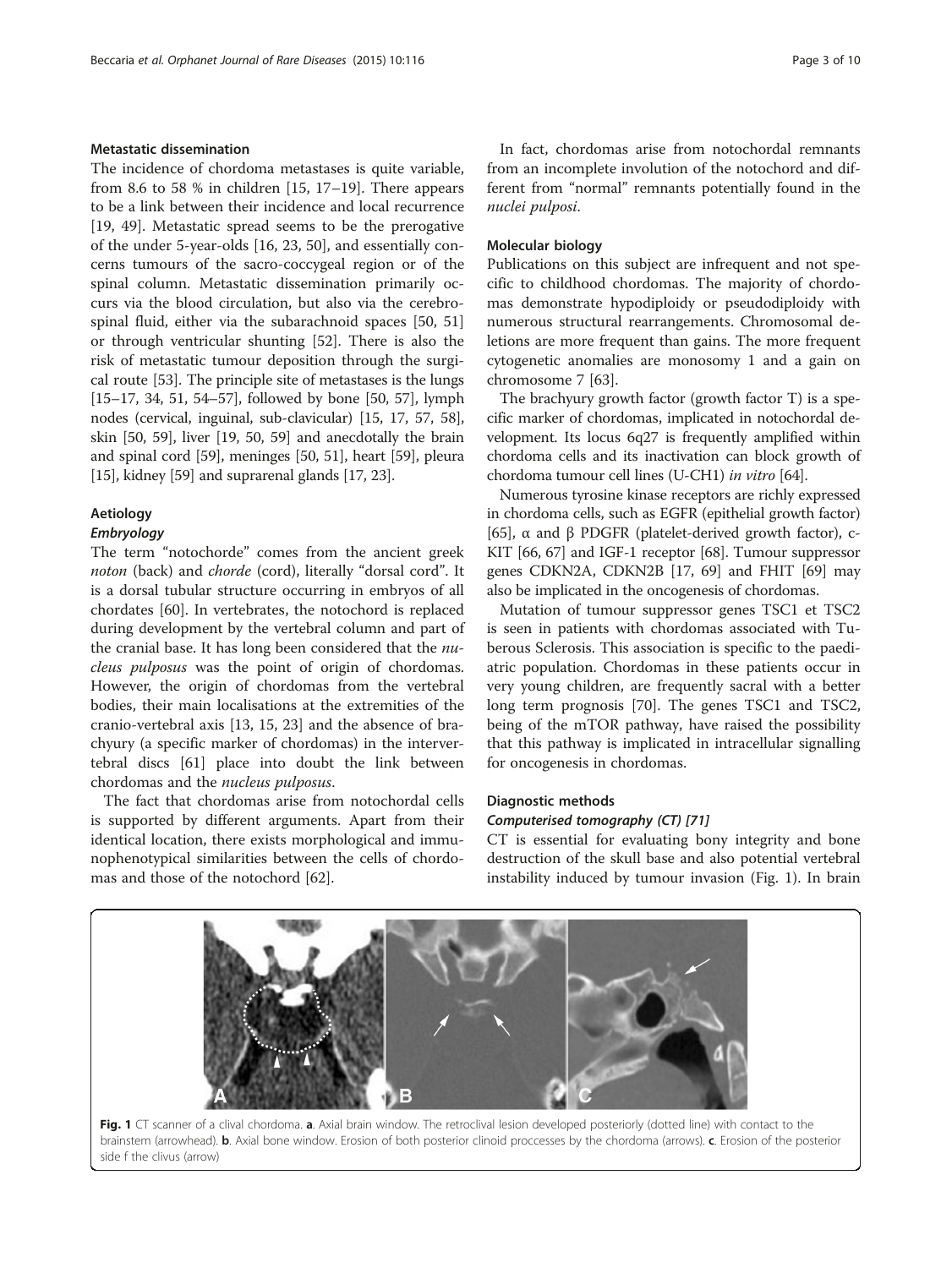# Metastatic dissemination

The incidence of chordoma metastases is quite variable, from 8.6 to 58 % in children  $[15, 17-19]$  $[15, 17-19]$  $[15, 17-19]$  $[15, 17-19]$ . There appears to be a link between their incidence and local recurrence [[19, 49\]](#page-7-0). Metastatic spread seems to be the prerogative of the under 5-year-olds [[16, 23, 50](#page-7-0)], and essentially concerns tumours of the sacro-coccygeal region or of the spinal column. Metastatic dissemination primarily occurs via the blood circulation, but also via the cerebrospinal fluid, either via the subarachnoid spaces [[50](#page-7-0), [51](#page-7-0)] or through ventricular shunting [[52](#page-7-0)]. There is also the risk of metastatic tumour deposition through the surgical route [[53\]](#page-7-0). The principle site of metastases is the lungs [[15](#page-7-0)–[17, 34](#page-7-0), [51](#page-7-0), [54](#page-7-0)–[57](#page-7-0)], followed by bone [[50](#page-7-0), [57\]](#page-7-0), lymph nodes (cervical, inguinal, sub-clavicular) [\[15, 17, 57](#page-7-0), [58](#page-8-0)], skin [[50,](#page-7-0) [59](#page-8-0)], liver [\[19, 50](#page-7-0), [59\]](#page-8-0) and anecdotally the brain and spinal cord [[59](#page-8-0)], meninges [[50, 51](#page-7-0)], heart [\[59](#page-8-0)], pleura [[15](#page-7-0)], kidney [\[59\]](#page-8-0) and suprarenal glands [[17, 23\]](#page-7-0).

# Aetiology

# Embryology

The term "notochorde" comes from the ancient greek noton (back) and *chorde* (cord), literally "dorsal cord". It is a dorsal tubular structure occurring in embryos of all chordates [[60\]](#page-8-0). In vertebrates, the notochord is replaced during development by the vertebral column and part of the cranial base. It has long been considered that the nucleus pulposus was the point of origin of chordomas. However, the origin of chordomas from the vertebral bodies, their main localisations at the extremities of the cranio-vertebral axis [[13, 15, 23\]](#page-7-0) and the absence of brachyury (a specific marker of chordomas) in the intervertebral discs [[61\]](#page-8-0) place into doubt the link between chordomas and the nucleus pulposus.

The fact that chordomas arise from notochordal cells is supported by different arguments. Apart from their identical location, there exists morphological and immunophenotypical similarities between the cells of chordomas and those of the notochord [\[62\]](#page-8-0).

In fact, chordomas arise from notochordal remnants from an incomplete involution of the notochord and different from "normal" remnants potentially found in the nuclei pulposi.

# Molecular biology

Publications on this subject are infrequent and not specific to childhood chordomas. The majority of chordomas demonstrate hypodiploidy or pseudodiploidy with numerous structural rearrangements. Chromosomal deletions are more frequent than gains. The more frequent cytogenetic anomalies are monosomy 1 and a gain on chromosome 7 [[63\]](#page-8-0).

The brachyury growth factor (growth factor T) is a specific marker of chordomas, implicated in notochordal development. Its locus 6q27 is frequently amplified within chordoma cells and its inactivation can block growth of chordoma tumour cell lines (U-CH1) in vitro [[64](#page-8-0)].

Numerous tyrosine kinase receptors are richly expressed in chordoma cells, such as EGFR (epithelial growth factor) [[65](#page-8-0)], α and β PDGFR (platelet-derived growth factor), c-KIT [[66, 67](#page-8-0)] and IGF-1 receptor [\[68\]](#page-8-0). Tumour suppressor genes CDKN2A, CDKN2B [[17](#page-7-0), [69](#page-8-0)] and FHIT [[69](#page-8-0)] may also be implicated in the oncogenesis of chordomas.

Mutation of tumour suppressor genes TSC1 et TSC2 is seen in patients with chordomas associated with Tuberous Sclerosis. This association is specific to the paediatric population. Chordomas in these patients occur in very young children, are frequently sacral with a better long term prognosis [\[70](#page-8-0)]. The genes TSC1 and TSC2, being of the mTOR pathway, have raised the possibility that this pathway is implicated in intracellular signalling for oncogenesis in chordomas.

# Diagnostic methods

# Computerised tomography (CT) [[71](#page-8-0)]

CT is essential for evaluating bony integrity and bone destruction of the skull base and also potential vertebral instability induced by tumour invasion (Fig. 1). In brain

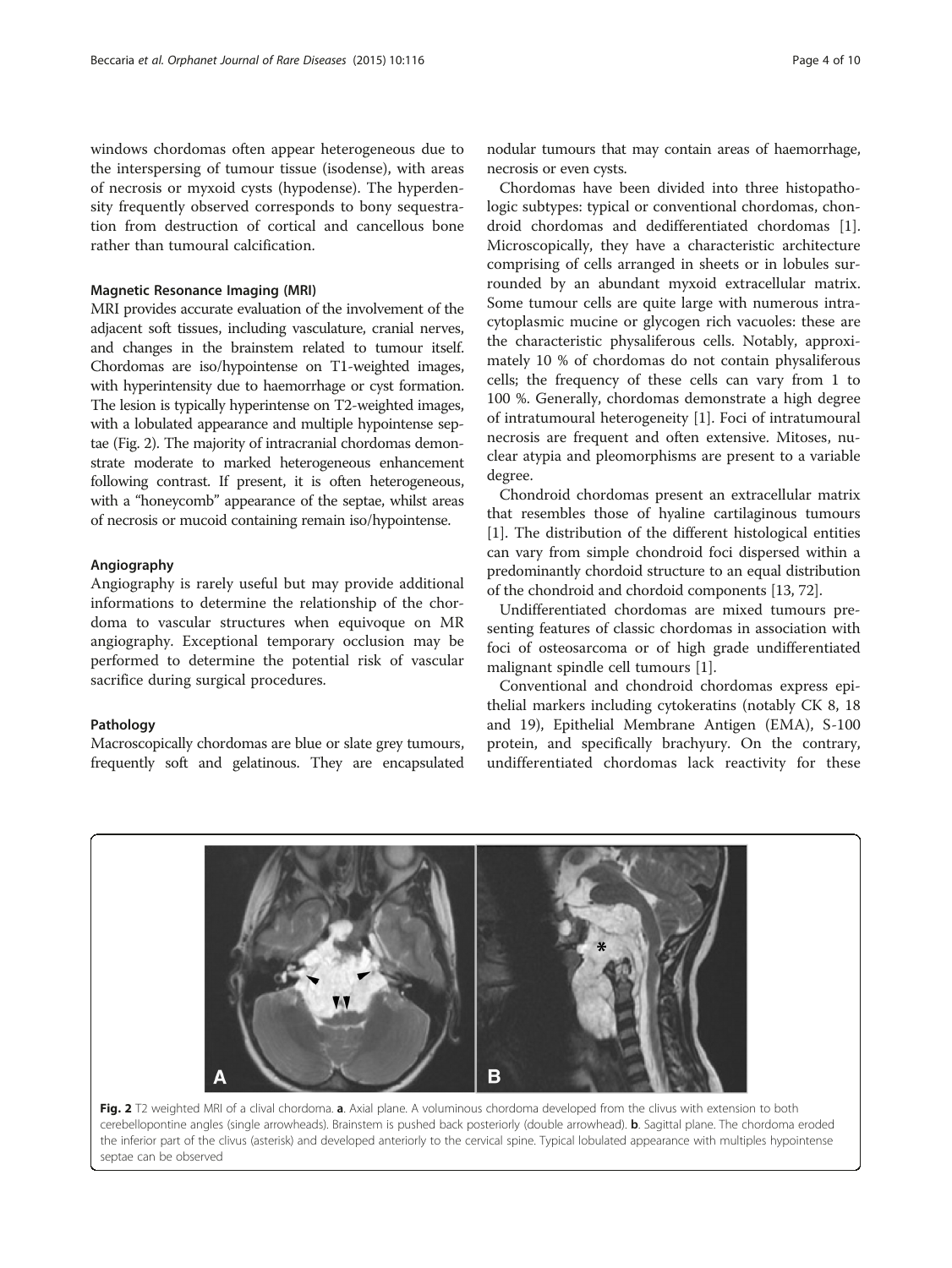windows chordomas often appear heterogeneous due to the interspersing of tumour tissue (isodense), with areas of necrosis or myxoid cysts (hypodense). The hyperdensity frequently observed corresponds to bony sequestration from destruction of cortical and cancellous bone rather than tumoural calcification.

# Magnetic Resonance Imaging (MRI)

MRI provides accurate evaluation of the involvement of the adjacent soft tissues, including vasculature, cranial nerves, and changes in the brainstem related to tumour itself. Chordomas are iso/hypointense on T1-weighted images, with hyperintensity due to haemorrhage or cyst formation. The lesion is typically hyperintense on T2-weighted images, with a lobulated appearance and multiple hypointense septae (Fig. 2). The majority of intracranial chordomas demonstrate moderate to marked heterogeneous enhancement following contrast. If present, it is often heterogeneous, with a "honeycomb" appearance of the septae, whilst areas of necrosis or mucoid containing remain iso/hypointense.

# Angiography

Angiography is rarely useful but may provide additional informations to determine the relationship of the chordoma to vascular structures when equivoque on MR angiography. Exceptional temporary occlusion may be performed to determine the potential risk of vascular sacrifice during surgical procedures.

# Pathology

Macroscopically chordomas are blue or slate grey tumours, frequently soft and gelatinous. They are encapsulated

nodular tumours that may contain areas of haemorrhage, necrosis or even cysts.

Chordomas have been divided into three histopathologic subtypes: typical or conventional chordomas, chondroid chordomas and dedifferentiated chordomas [\[1](#page-7-0)]. Microscopically, they have a characteristic architecture comprising of cells arranged in sheets or in lobules surrounded by an abundant myxoid extracellular matrix. Some tumour cells are quite large with numerous intracytoplasmic mucine or glycogen rich vacuoles: these are the characteristic physaliferous cells. Notably, approximately 10 % of chordomas do not contain physaliferous cells; the frequency of these cells can vary from 1 to 100 %. Generally, chordomas demonstrate a high degree of intratumoural heterogeneity [\[1\]](#page-7-0). Foci of intratumoural necrosis are frequent and often extensive. Mitoses, nuclear atypia and pleomorphisms are present to a variable degree.

Chondroid chordomas present an extracellular matrix that resembles those of hyaline cartilaginous tumours [[1\]](#page-7-0). The distribution of the different histological entities can vary from simple chondroid foci dispersed within a predominantly chordoid structure to an equal distribution of the chondroid and chordoid components [\[13](#page-7-0), [72](#page-8-0)].

Undifferentiated chordomas are mixed tumours presenting features of classic chordomas in association with foci of osteosarcoma or of high grade undifferentiated malignant spindle cell tumours [\[1](#page-7-0)].

Conventional and chondroid chordomas express epithelial markers including cytokeratins (notably CK 8, 18 and 19), Epithelial Membrane Antigen (EMA), S-100 protein, and specifically brachyury. On the contrary, undifferentiated chordomas lack reactivity for these



Fig. 2 T2 weighted MRI of a clival chordoma. a. Axial plane. A voluminous chordoma developed from the clivus with extension to both cerebellopontine angles (single arrowheads). Brainstem is pushed back posteriorly (double arrowhead). b. Sagittal plane. The chordoma eroded the inferior part of the clivus (asterisk) and developed anteriorly to the cervical spine. Typical lobulated appearance with multiples hypointense septae can be observed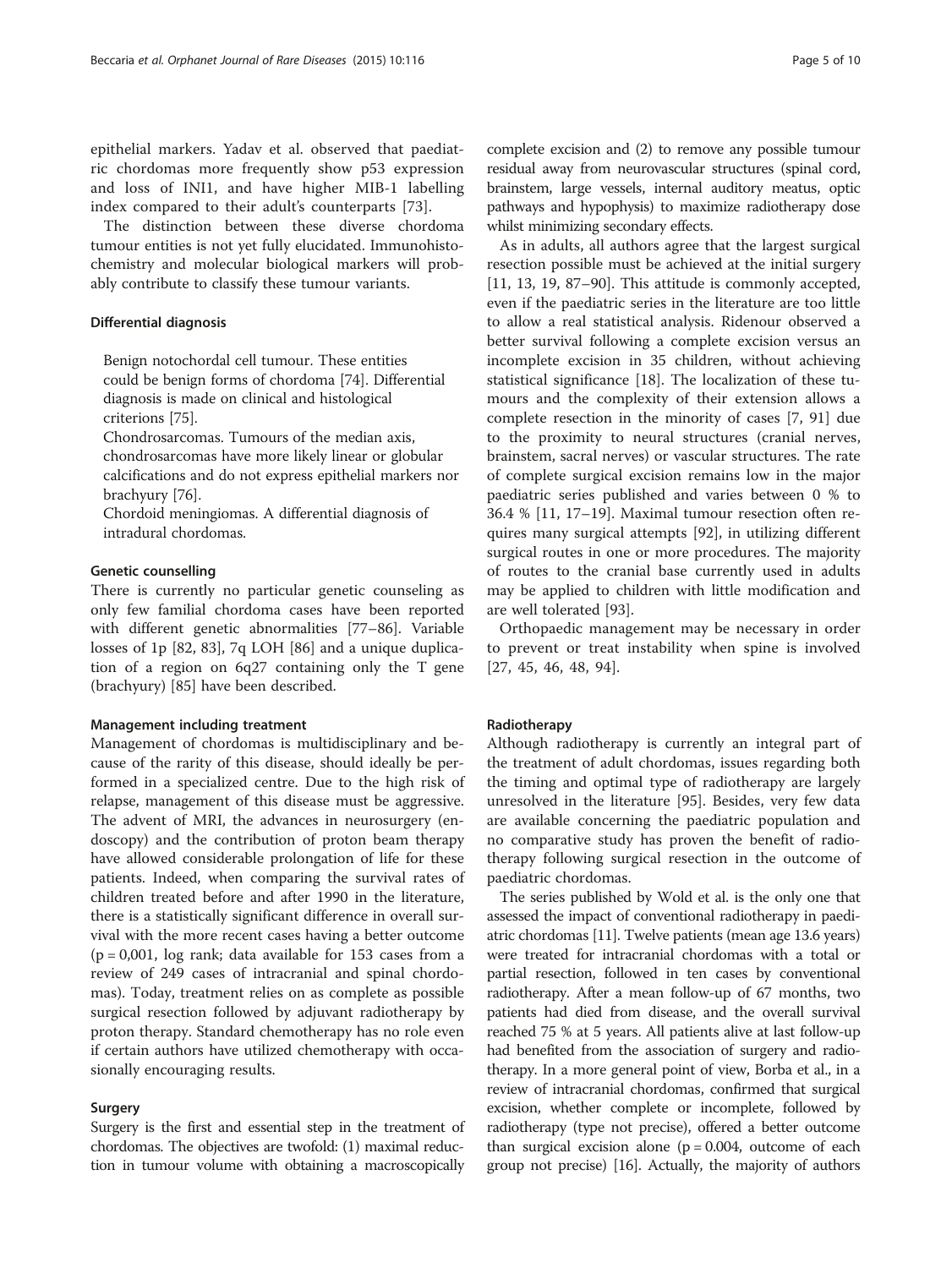epithelial markers. Yadav et al. observed that paediatric chordomas more frequently show p53 expression and loss of INI1, and have higher MIB-1 labelling index compared to their adult's counterparts [[73\]](#page-8-0).

The distinction between these diverse chordoma tumour entities is not yet fully elucidated. Immunohistochemistry and molecular biological markers will probably contribute to classify these tumour variants.

# Differential diagnosis

Benign notochordal cell tumour. These entities could be benign forms of chordoma [74]. Differential diagnosis is made on clinical and histological criterions [75].

Chondrosarcomas. Tumours of the median axis, chondrosarcomas have more likely linear or globular calcifications and do not express epithelial markers nor brachyury [76].

Chordoid meningiomas. A differential diagnosis of intradural chordomas.

# Genetic counselling

There is currently no particular genetic counseling as only few familial chordoma cases have been reported with different genetic abnormalities [\[77](#page-8-0)–[86](#page-8-0)]. Variable losses of 1p [[82, 83\]](#page-8-0), 7q LOH [\[86](#page-8-0)] and a unique duplication of a region on 6q27 containing only the T gene (brachyury) [[85\]](#page-8-0) have been described.

## Management including treatment

Management of chordomas is multidisciplinary and because of the rarity of this disease, should ideally be performed in a specialized centre. Due to the high risk of relapse, management of this disease must be aggressive. The advent of MRI, the advances in neurosurgery (endoscopy) and the contribution of proton beam therapy have allowed considerable prolongation of life for these patients. Indeed, when comparing the survival rates of children treated before and after 1990 in the literature, there is a statistically significant difference in overall survival with the more recent cases having a better outcome  $(p = 0.001, \text{log rank}; \text{data available for } 153 \text{ cases from a})$ review of 249 cases of intracranial and spinal chordomas). Today, treatment relies on as complete as possible surgical resection followed by adjuvant radiotherapy by proton therapy. Standard chemotherapy has no role even if certain authors have utilized chemotherapy with occasionally encouraging results.

# Surgery

Surgery is the first and essential step in the treatment of chordomas. The objectives are twofold: (1) maximal reduction in tumour volume with obtaining a macroscopically

complete excision and (2) to remove any possible tumour residual away from neurovascular structures (spinal cord, brainstem, large vessels, internal auditory meatus, optic pathways and hypophysis) to maximize radiotherapy dose whilst minimizing secondary effects.

As in adults, all authors agree that the largest surgical resection possible must be achieved at the initial surgery [[11, 13](#page-7-0), [19](#page-7-0), [87](#page-8-0)–[90](#page-8-0)]. This attitude is commonly accepted, even if the paediatric series in the literature are too little to allow a real statistical analysis. Ridenour observed a better survival following a complete excision versus an incomplete excision in 35 children, without achieving statistical significance [[18\]](#page-7-0). The localization of these tumours and the complexity of their extension allows a complete resection in the minority of cases [\[7](#page-7-0), [91](#page-8-0)] due to the proximity to neural structures (cranial nerves, brainstem, sacral nerves) or vascular structures. The rate of complete surgical excision remains low in the major paediatric series published and varies between 0 % to 36.4 % [[11](#page-7-0), [17](#page-7-0)–[19\]](#page-7-0). Maximal tumour resection often requires many surgical attempts [[92\]](#page-8-0), in utilizing different surgical routes in one or more procedures. The majority of routes to the cranial base currently used in adults may be applied to children with little modification and are well tolerated [[93](#page-8-0)].

Orthopaedic management may be necessary in order to prevent or treat instability when spine is involved [[27](#page-7-0), [45](#page-7-0), [46](#page-7-0), [48](#page-7-0), [94\]](#page-8-0).

# Radiotherapy

Although radiotherapy is currently an integral part of the treatment of adult chordomas, issues regarding both the timing and optimal type of radiotherapy are largely unresolved in the literature [[95](#page-8-0)]. Besides, very few data are available concerning the paediatric population and no comparative study has proven the benefit of radiotherapy following surgical resection in the outcome of paediatric chordomas.

The series published by Wold et al. is the only one that assessed the impact of conventional radiotherapy in paediatric chordomas [[11](#page-7-0)]. Twelve patients (mean age 13.6 years) were treated for intracranial chordomas with a total or partial resection, followed in ten cases by conventional radiotherapy. After a mean follow-up of 67 months, two patients had died from disease, and the overall survival reached 75 % at 5 years. All patients alive at last follow-up had benefited from the association of surgery and radiotherapy. In a more general point of view, Borba et al., in a review of intracranial chordomas, confirmed that surgical excision, whether complete or incomplete, followed by radiotherapy (type not precise), offered a better outcome than surgical excision alone  $(p = 0.004)$ , outcome of each group not precise) [[16](#page-7-0)]. Actually, the majority of authors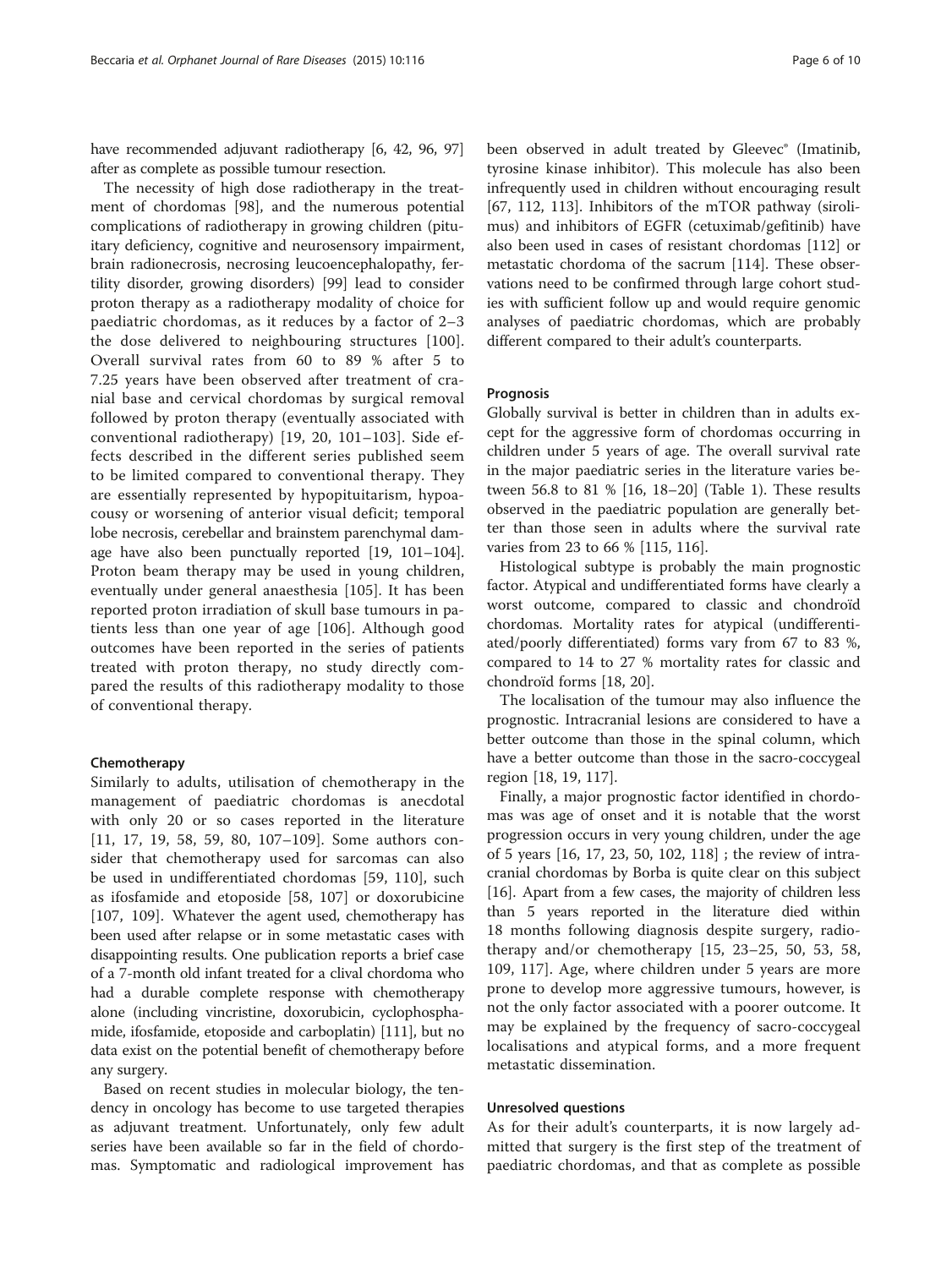have recommended adjuvant radiotherapy [\[6, 42,](#page-7-0) [96, 97](#page-8-0)] after as complete as possible tumour resection.

The necessity of high dose radiotherapy in the treatment of chordomas [[98\]](#page-8-0), and the numerous potential complications of radiotherapy in growing children (pituitary deficiency, cognitive and neurosensory impairment, brain radionecrosis, necrosing leucoencephalopathy, fertility disorder, growing disorders) [[99\]](#page-8-0) lead to consider proton therapy as a radiotherapy modality of choice for paediatric chordomas, as it reduces by a factor of 2–3 the dose delivered to neighbouring structures [[100](#page-8-0)]. Overall survival rates from 60 to 89 % after 5 to 7.25 years have been observed after treatment of cranial base and cervical chordomas by surgical removal followed by proton therapy (eventually associated with conventional radiotherapy) [[19, 20](#page-7-0), [101](#page-8-0)–[103](#page-8-0)]. Side effects described in the different series published seem to be limited compared to conventional therapy. They are essentially represented by hypopituitarism, hypoacousy or worsening of anterior visual deficit; temporal lobe necrosis, cerebellar and brainstem parenchymal damage have also been punctually reported [[19](#page-7-0), [101](#page-8-0)–[104](#page-8-0)]. Proton beam therapy may be used in young children, eventually under general anaesthesia [[105\]](#page-8-0). It has been reported proton irradiation of skull base tumours in patients less than one year of age [[106\]](#page-8-0). Although good outcomes have been reported in the series of patients treated with proton therapy, no study directly compared the results of this radiotherapy modality to those of conventional therapy.

# Chemotherapy

Similarly to adults, utilisation of chemotherapy in the management of paediatric chordomas is anecdotal with only 20 or so cases reported in the literature [[11, 17, 19,](#page-7-0) [58, 59, 80,](#page-8-0) [107](#page-9-0)–[109\]](#page-9-0). Some authors consider that chemotherapy used for sarcomas can also be used in undifferentiated chordomas [\[59](#page-8-0), [110\]](#page-9-0), such as ifosfamide and etoposide [[58](#page-8-0), [107](#page-9-0)] or doxorubicine [[107, 109](#page-9-0)]. Whatever the agent used, chemotherapy has been used after relapse or in some metastatic cases with disappointing results. One publication reports a brief case of a 7-month old infant treated for a clival chordoma who had a durable complete response with chemotherapy alone (including vincristine, doxorubicin, cyclophosphamide, ifosfamide, etoposide and carboplatin) [\[111\]](#page-9-0), but no data exist on the potential benefit of chemotherapy before any surgery.

Based on recent studies in molecular biology, the tendency in oncology has become to use targeted therapies as adjuvant treatment. Unfortunately, only few adult series have been available so far in the field of chordomas. Symptomatic and radiological improvement has

been observed in adult treated by Gleevec® (Imatinib, tyrosine kinase inhibitor). This molecule has also been infrequently used in children without encouraging result [[67,](#page-8-0) [112, 113](#page-9-0)]. Inhibitors of the mTOR pathway (sirolimus) and inhibitors of EGFR (cetuximab/gefitinib) have also been used in cases of resistant chordomas [\[112\]](#page-9-0) or metastatic chordoma of the sacrum [[114\]](#page-9-0). These observations need to be confirmed through large cohort studies with sufficient follow up and would require genomic analyses of paediatric chordomas, which are probably different compared to their adult's counterparts.

# Prognosis

Globally survival is better in children than in adults except for the aggressive form of chordomas occurring in children under 5 years of age. The overall survival rate in the major paediatric series in the literature varies between 56.8 to 81 % [[16](#page-7-0), [18](#page-7-0)–[20\]](#page-7-0) (Table [1\)](#page-6-0). These results observed in the paediatric population are generally better than those seen in adults where the survival rate varies from 23 to 66 % [\[115](#page-9-0), [116\]](#page-9-0).

Histological subtype is probably the main prognostic factor. Atypical and undifferentiated forms have clearly a worst outcome, compared to classic and chondroïd chordomas. Mortality rates for atypical (undifferentiated/poorly differentiated) forms vary from 67 to 83 %, compared to 14 to 27 % mortality rates for classic and chondroïd forms [\[18](#page-7-0), [20](#page-7-0)].

The localisation of the tumour may also influence the prognostic. Intracranial lesions are considered to have a better outcome than those in the spinal column, which have a better outcome than those in the sacro-coccygeal region [[18, 19](#page-7-0), [117](#page-9-0)].

Finally, a major prognostic factor identified in chordomas was age of onset and it is notable that the worst progression occurs in very young children, under the age of 5 years [\[16](#page-7-0), [17](#page-7-0), [23](#page-7-0), [50,](#page-7-0) [102,](#page-8-0) [118\]](#page-9-0) ; the review of intracranial chordomas by Borba is quite clear on this subject [[16\]](#page-7-0). Apart from a few cases, the majority of children less than 5 years reported in the literature died within 18 months following diagnosis despite surgery, radiotherapy and/or chemotherapy [\[15](#page-7-0), [23](#page-7-0)–[25, 50, 53](#page-7-0), [58](#page-8-0), [109, 117\]](#page-9-0). Age, where children under 5 years are more prone to develop more aggressive tumours, however, is not the only factor associated with a poorer outcome. It may be explained by the frequency of sacro-coccygeal localisations and atypical forms, and a more frequent metastatic dissemination.

# Unresolved questions

As for their adult's counterparts, it is now largely admitted that surgery is the first step of the treatment of paediatric chordomas, and that as complete as possible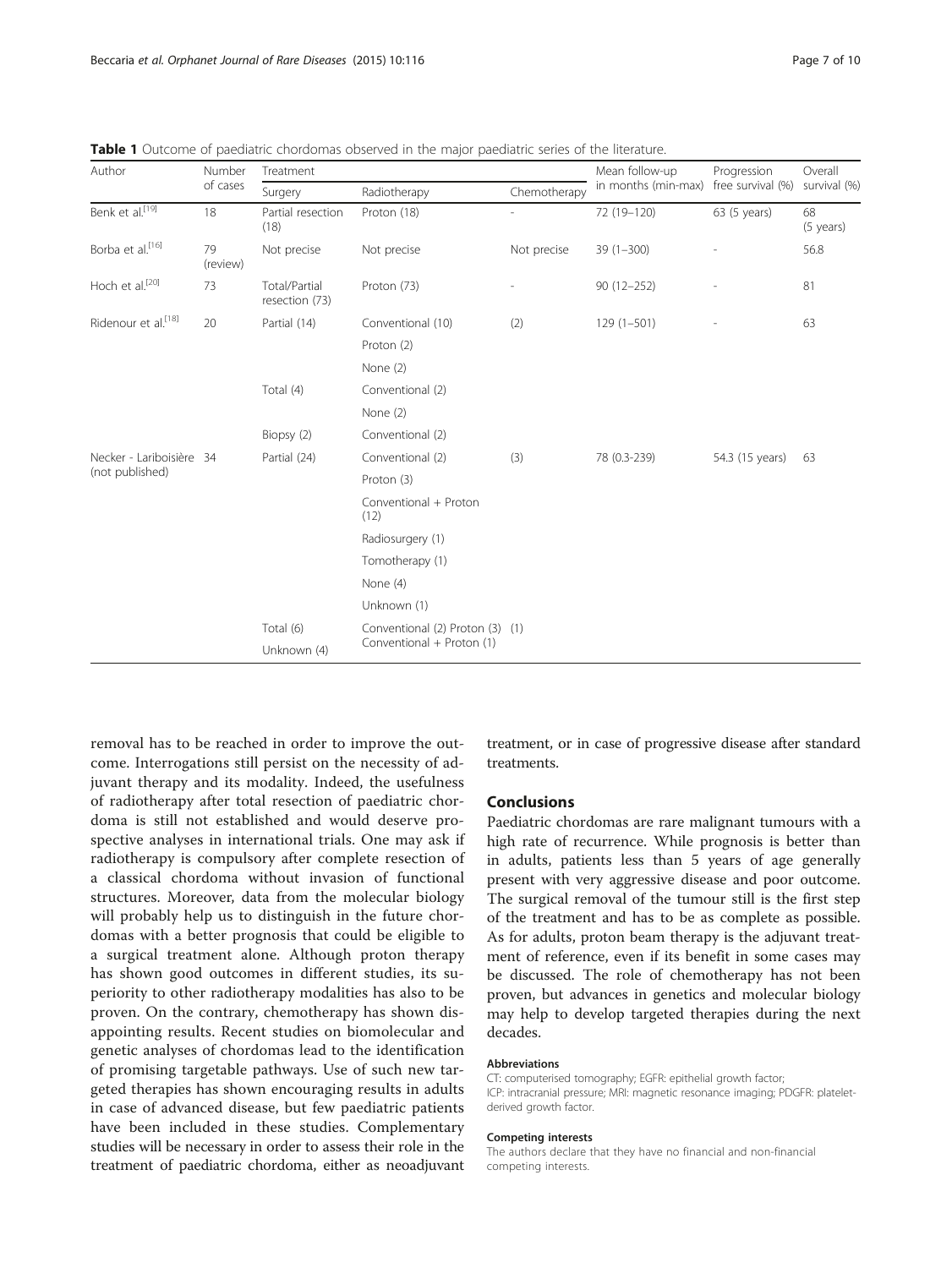| Author                                      | Number<br>of cases | Treatment                       |                                                              |                | Mean follow-up      | Progression       | Overall         |
|---------------------------------------------|--------------------|---------------------------------|--------------------------------------------------------------|----------------|---------------------|-------------------|-----------------|
|                                             |                    | Surgery                         | Radiotherapy                                                 | Chemotherapy   | in months (min-max) | free survival (%) | survival (%)    |
| Benk et al. <sup>[19]</sup>                 | 18                 | Partial resection<br>(18)       | Proton (18)                                                  |                | 72 (19-120)         | 63 (5 years)      | 68<br>(5 years) |
| Borba et al. <sup>[16]</sup>                | 79<br>(review)     | Not precise                     | Not precise                                                  | Not precise    | $39(1 - 300)$       |                   | 56.8            |
| Hoch et al. <sup>[20]</sup>                 | 73                 | Total/Partial<br>resection (73) | Proton (73)                                                  | $\overline{a}$ | $90(12 - 252)$      |                   | 81              |
| Ridenour et al. <sup>[18]</sup>             | 20                 | Partial (14)                    | Conventional (10)                                            | (2)            | $129(1 - 501)$      |                   | 63              |
|                                             |                    |                                 | Proton (2)                                                   |                |                     |                   |                 |
|                                             |                    |                                 | None (2)                                                     |                |                     |                   |                 |
|                                             |                    | Total (4)                       | Conventional (2)                                             |                |                     |                   |                 |
|                                             |                    |                                 | None (2)                                                     |                |                     |                   |                 |
|                                             |                    | Biopsy (2)                      | Conventional (2)                                             |                |                     |                   |                 |
| Necker - Lariboisière 34<br>(not published) |                    | Partial (24)                    | Conventional (2)                                             | (3)            | 78 (0.3-239)        | 54.3 (15 years)   | 63              |
|                                             |                    |                                 | Proton (3)                                                   |                |                     |                   |                 |
|                                             |                    |                                 | Conventional + Proton<br>(12)                                |                |                     |                   |                 |
|                                             |                    |                                 | Radiosurgery (1)                                             |                |                     |                   |                 |
|                                             |                    |                                 | Tomotherapy (1)                                              |                |                     |                   |                 |
|                                             |                    |                                 | None (4)                                                     |                |                     |                   |                 |
|                                             |                    |                                 | Unknown (1)                                                  |                |                     |                   |                 |
|                                             |                    | Total (6)                       | Conventional (2) Proton (3) (1)<br>Conventional + Proton (1) |                |                     |                   |                 |
|                                             |                    | Unknown (4)                     |                                                              |                |                     |                   |                 |

<span id="page-6-0"></span>Table 1 Outcome of paediatric chordomas observed in the major paediatric series of the literature.

removal has to be reached in order to improve the outcome. Interrogations still persist on the necessity of adjuvant therapy and its modality. Indeed, the usefulness of radiotherapy after total resection of paediatric chordoma is still not established and would deserve prospective analyses in international trials. One may ask if radiotherapy is compulsory after complete resection of a classical chordoma without invasion of functional structures. Moreover, data from the molecular biology will probably help us to distinguish in the future chordomas with a better prognosis that could be eligible to a surgical treatment alone. Although proton therapy has shown good outcomes in different studies, its superiority to other radiotherapy modalities has also to be proven. On the contrary, chemotherapy has shown disappointing results. Recent studies on biomolecular and genetic analyses of chordomas lead to the identification of promising targetable pathways. Use of such new targeted therapies has shown encouraging results in adults in case of advanced disease, but few paediatric patients have been included in these studies. Complementary studies will be necessary in order to assess their role in the treatment of paediatric chordoma, either as neoadjuvant

treatment, or in case of progressive disease after standard treatments.

# Conclusions

Paediatric chordomas are rare malignant tumours with a high rate of recurrence. While prognosis is better than in adults, patients less than 5 years of age generally present with very aggressive disease and poor outcome. The surgical removal of the tumour still is the first step of the treatment and has to be as complete as possible. As for adults, proton beam therapy is the adjuvant treatment of reference, even if its benefit in some cases may be discussed. The role of chemotherapy has not been proven, but advances in genetics and molecular biology may help to develop targeted therapies during the next decades.

## Abbreviations

CT: computerised tomography; EGFR: epithelial growth factor; ICP: intracranial pressure; MRI: magnetic resonance imaging; PDGFR: plateletderived growth factor.

#### Competing interests

The authors declare that they have no financial and non-financial competing interests.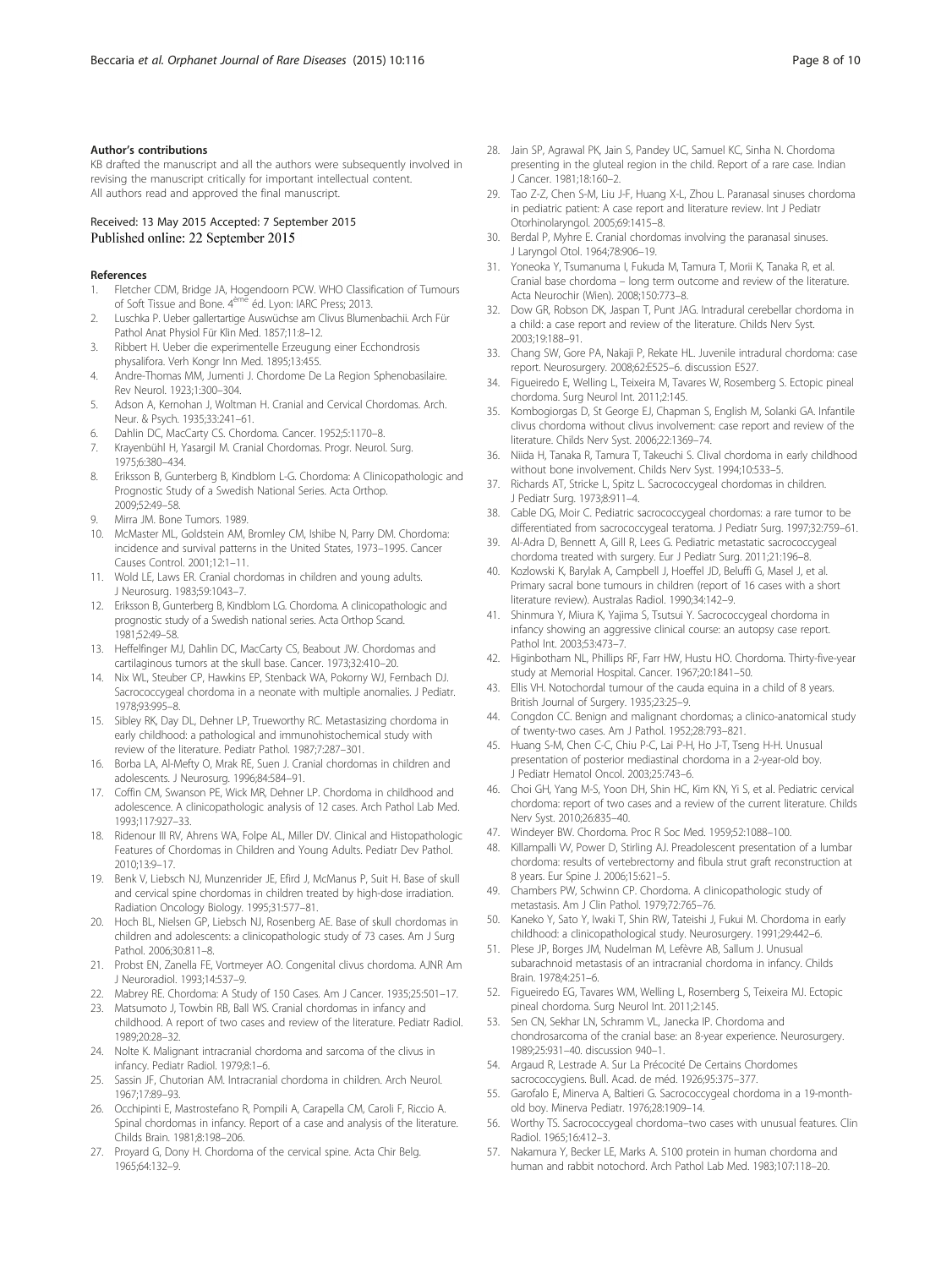<span id="page-7-0"></span>KB drafted the manuscript and all the authors were subsequently involved in revising the manuscript critically for important intellectual content. All authors read and approved the final manuscript.

# Received: 13 May 2015 Accepted: 7 September 2015 Published online: 22 September 2015

#### References

- 1. Fletcher CDM, Bridge JA, Hogendoorn PCW. WHO Classification of Tumours of Soft Tissue and Bone. 4<sup>ème</sup> éd. Lyon: IARC Press; 2013.
- 2. Luschka P. Ueber gallertartige Auswüchse am Clivus Blumenbachii. Arch Für Pathol Anat Physiol Für Klin Med. 1857;11:8–12.
- 3. Ribbert H. Ueber die experimentelle Erzeugung einer Ecchondrosis physalifora. Verh Kongr Inn Med. 1895;13:455.
- 4. Andre-Thomas MM, Jumenti J. Chordome De La Region Sphenobasilaire. Rev Neurol. 1923;1:300–304.
- 5. Adson A, Kernohan J, Woltman H. Cranial and Cervical Chordomas. Arch. Neur. & Psych. 1935;33:241–61.
- 6. Dahlin DC, MacCarty CS. Chordoma. Cancer. 1952;5:1170–8.
- 7. Krayenbühl H, Yasargil M. Cranial Chordomas. Progr. Neurol. Surg. 1975;6:380–434.
- 8. Eriksson B, Gunterberg B, Kindblom L-G. Chordoma: A Clinicopathologic and Prognostic Study of a Swedish National Series. Acta Orthop. 2009;52:49–58.
- Mirra JM. Bone Tumors. 1989.
- 10. McMaster ML, Goldstein AM, Bromley CM, Ishibe N, Parry DM. Chordoma: incidence and survival patterns in the United States, 1973–1995. Cancer Causes Control. 2001;12:1–11.
- 11. Wold LE, Laws ER. Cranial chordomas in children and young adults. J Neurosurg. 1983;59:1043–7.
- 12. Eriksson B, Gunterberg B, Kindblom LG. Chordoma. A clinicopathologic and prognostic study of a Swedish national series. Acta Orthop Scand. 1981;52:49–58.
- 13. Heffelfinger MJ, Dahlin DC, MacCarty CS, Beabout JW. Chordomas and cartilaginous tumors at the skull base. Cancer. 1973;32:410–20.
- 14. Nix WL, Steuber CP, Hawkins EP, Stenback WA, Pokorny WJ, Fernbach DJ. Sacrococcygeal chordoma in a neonate with multiple anomalies. J Pediatr. 1978;93:995–8.
- 15. Sibley RK, Day DL, Dehner LP, Trueworthy RC. Metastasizing chordoma in early childhood: a pathological and immunohistochemical study with review of the literature. Pediatr Pathol. 1987;7:287–301.
- 16. Borba LA, Al-Mefty O, Mrak RE, Suen J. Cranial chordomas in children and adolescents. J Neurosurg. 1996;84:584–91.
- 17. Coffin CM, Swanson PE, Wick MR, Dehner LP. Chordoma in childhood and adolescence. A clinicopathologic analysis of 12 cases. Arch Pathol Lab Med. 1993;117:927–33.
- 18. Ridenour III RV, Ahrens WA, Folpe AL, Miller DV. Clinical and Histopathologic Features of Chordomas in Children and Young Adults. Pediatr Dev Pathol. 2010;13:9–17.
- 19. Benk V, Liebsch NJ, Munzenrider JE, Efird J, McManus P, Suit H. Base of skull and cervical spine chordomas in children treated by high-dose irradiation. Radiation Oncology Biology. 1995;31:577–81.
- 20. Hoch BL, Nielsen GP, Liebsch NJ, Rosenberg AE. Base of skull chordomas in children and adolescents: a clinicopathologic study of 73 cases. Am J Surg Pathol. 2006;30:811–8.
- 21. Probst EN, Zanella FE, Vortmeyer AO. Congenital clivus chordoma. AJNR Am J Neuroradiol. 1993;14:537–9.
- 22. Mabrey RE. Chordoma: A Study of 150 Cases. Am J Cancer. 1935;25:501–17.
- 23. Matsumoto J, Towbin RB, Ball WS. Cranial chordomas in infancy and childhood. A report of two cases and review of the literature. Pediatr Radiol. 1989;20:28–32.
- 24. Nolte K. Malignant intracranial chordoma and sarcoma of the clivus in infancy. Pediatr Radiol. 1979;8:1–6.
- 25. Sassin JF, Chutorian AM. Intracranial chordoma in children. Arch Neurol. 1967;17:89–93.
- 26. Occhipinti E, Mastrostefano R, Pompili A, Carapella CM, Caroli F, Riccio A. Spinal chordomas in infancy. Report of a case and analysis of the literature. Childs Brain. 1981;8:198–206.
- 27. Proyard G, Dony H. Chordoma of the cervical spine. Acta Chir Belg. 1965;64:132–9.
- 28. Jain SP, Agrawal PK, Jain S, Pandey UC, Samuel KC, Sinha N. Chordoma presenting in the gluteal region in the child. Report of a rare case. Indian J Cancer. 1981;18:160–2.
- 29. Tao Z-Z, Chen S-M, Liu J-F, Huang X-L, Zhou L. Paranasal sinuses chordoma in pediatric patient: A case report and literature review. Int J Pediatr Otorhinolaryngol. 2005;69:1415–8.
- 30. Berdal P, Myhre E. Cranial chordomas involving the paranasal sinuses. J Laryngol Otol. 1964;78:906–19.
- 31. Yoneoka Y, Tsumanuma I, Fukuda M, Tamura T, Morii K, Tanaka R, et al. Cranial base chordoma – long term outcome and review of the literature. Acta Neurochir (Wien). 2008;150:773–8.
- 32. Dow GR, Robson DK, Jaspan T, Punt JAG. Intradural cerebellar chordoma in a child: a case report and review of the literature. Childs Nerv Syst. 2003;19:188–91.
- 33. Chang SW, Gore PA, Nakaji P, Rekate HL. Juvenile intradural chordoma: case report. Neurosurgery. 2008;62:E525–6. discussion E527.
- 34. Figueiredo E, Welling L, Teixeira M, Tavares W, Rosemberg S. Ectopic pineal chordoma. Surg Neurol Int. 2011;2:145.
- 35. Kombogiorgas D, St George EJ, Chapman S, English M, Solanki GA. Infantile clivus chordoma without clivus involvement: case report and review of the literature. Childs Nerv Syst. 2006;22:1369–74.
- 36. Niida H, Tanaka R, Tamura T, Takeuchi S. Clival chordoma in early childhood without bone involvement. Childs Nerv Syst. 1994;10:533–5.
- 37. Richards AT, Stricke L, Spitz L. Sacrococcygeal chordomas in children. J Pediatr Surg. 1973;8:911–4.
- 38. Cable DG, Moir C. Pediatric sacrococcygeal chordomas: a rare tumor to be differentiated from sacrococcygeal teratoma. J Pediatr Surg. 1997;32:759–61.
- 39. Al-Adra D, Bennett A, Gill R, Lees G. Pediatric metastatic sacrococcygeal chordoma treated with surgery. Eur J Pediatr Surg. 2011;21:196–8.
- 40. Kozlowski K, Barylak A, Campbell J, Hoeffel JD, Beluffi G, Masel J, et al. Primary sacral bone tumours in children (report of 16 cases with a short literature review). Australas Radiol. 1990;34:142–9.
- 41. Shinmura Y, Miura K, Yajima S, Tsutsui Y. Sacrococcygeal chordoma in infancy showing an aggressive clinical course: an autopsy case report. Pathol Int. 2003;53:473–7.
- 42. Higinbotham NL, Phillips RF, Farr HW, Hustu HO. Chordoma. Thirty-five-year study at Memorial Hospital. Cancer. 1967;20:1841–50.
- 43. Ellis VH. Notochordal tumour of the cauda equina in a child of 8 years. British Journal of Surgery. 1935;23:25–9.
- 44. Congdon CC. Benign and malignant chordomas; a clinico-anatomical study of twenty-two cases. Am J Pathol. 1952;28:793–821.
- 45. Huang S-M, Chen C-C, Chiu P-C, Lai P-H, Ho J-T, Tseng H-H. Unusual presentation of posterior mediastinal chordoma in a 2-year-old boy. J Pediatr Hematol Oncol. 2003;25:743–6.
- 46. Choi GH, Yang M-S, Yoon DH, Shin HC, Kim KN, Yi S, et al. Pediatric cervical chordoma: report of two cases and a review of the current literature. Childs Nerv Syst. 2010;26:835–40.
- 47. Windeyer BW. Chordoma. Proc R Soc Med. 1959;52:1088–100.
- 48. Killampalli VV, Power D, Stirling AJ. Preadolescent presentation of a lumbar chordoma: results of vertebrectomy and fibula strut graft reconstruction at 8 years. Eur Spine J. 2006;15:621–5.
- 49. Chambers PW, Schwinn CP. Chordoma. A clinicopathologic study of metastasis. Am J Clin Pathol. 1979;72:765–76.
- Kaneko Y, Sato Y, Iwaki T, Shin RW, Tateishi J, Fukui M. Chordoma in early childhood: a clinicopathological study. Neurosurgery. 1991;29:442–6.
- 51. Plese JP, Borges JM, Nudelman M, Lefèvre AB, Sallum J. Unusual subarachnoid metastasis of an intracranial chordoma in infancy. Childs Brain. 1978;4:251–6.
- 52. Figueiredo EG, Tavares WM, Welling L, Rosemberg S, Teixeira MJ. Ectopic pineal chordoma. Surg Neurol Int. 2011;2:145.
- 53. Sen CN, Sekhar LN, Schramm VL, Janecka IP. Chordoma and chondrosarcoma of the cranial base: an 8-year experience. Neurosurgery. 1989;25:931–40. discussion 940–1.
- 54. Argaud R, Lestrade A. Sur La Précocité De Certains Chordomes sacrococcygiens. Bull. Acad. de méd. 1926;95:375–377.
- 55. Garofalo E, Minerva A, Baltieri G. Sacrococcygeal chordoma in a 19-monthold boy. Minerva Pediatr. 1976;28:1909–14.
- 56. Worthy TS. Sacrococcygeal chordoma–two cases with unusual features. Clin Radiol. 1965;16:412–3.
- 57. Nakamura Y, Becker LE, Marks A. S100 protein in human chordoma and human and rabbit notochord. Arch Pathol Lab Med. 1983;107:118–20.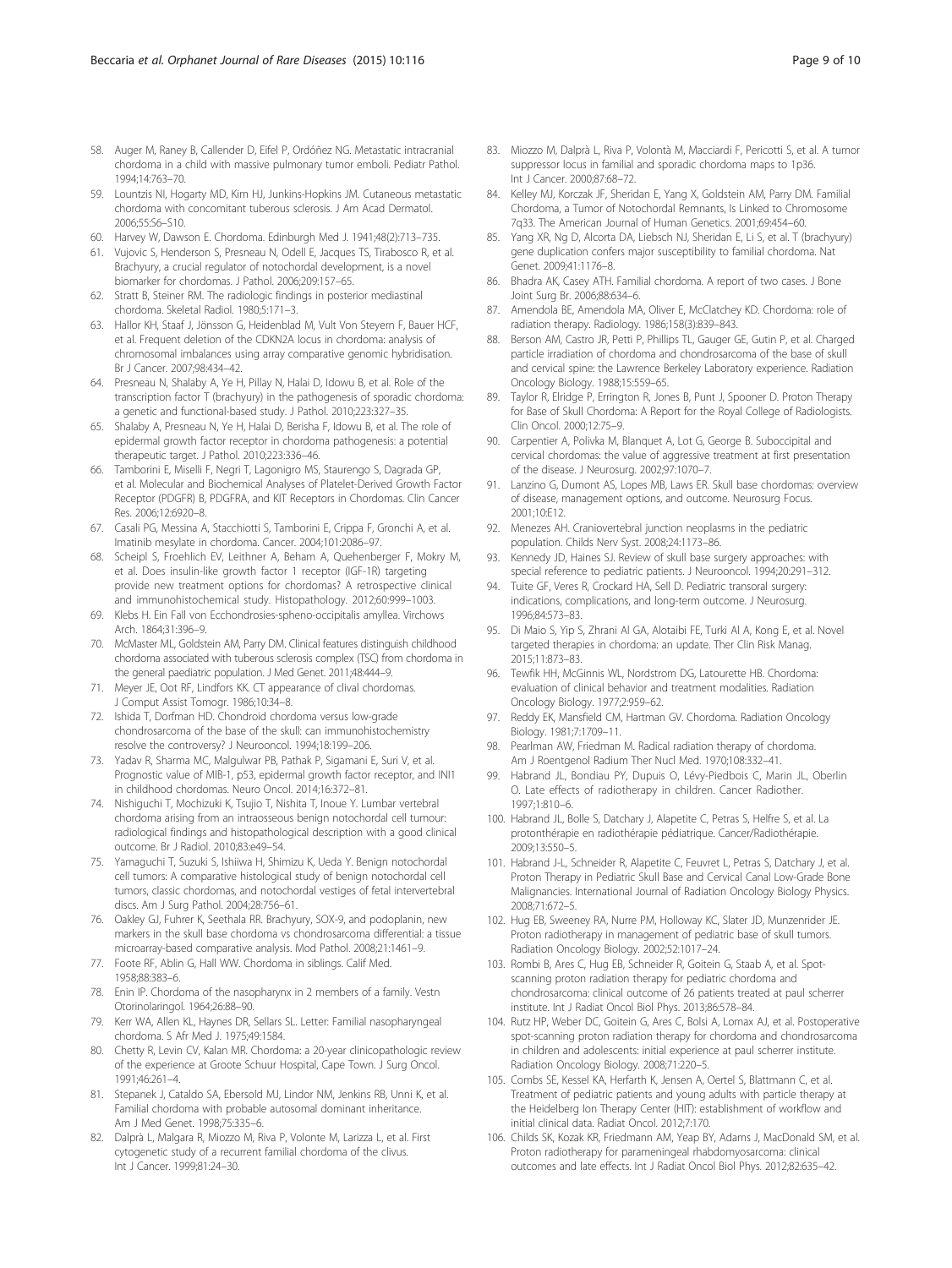- <span id="page-8-0"></span>58. Auger M, Raney B, Callender D, Eifel P, Ordóñez NG. Metastatic intracranial chordoma in a child with massive pulmonary tumor emboli. Pediatr Pathol. 1994;14:763–70.
- 59. Lountzis NI, Hogarty MD, Kim HJ, Junkins-Hopkins JM. Cutaneous metastatic chordoma with concomitant tuberous sclerosis. J Am Acad Dermatol. 2006;55:S6–S10.
- 60. Harvey W, Dawson E. Chordoma. Edinburgh Med J. 1941;48(2):713–735.
- 61. Vujovic S, Henderson S, Presneau N, Odell E, Jacques TS, Tirabosco R, et al. Brachyury, a crucial regulator of notochordal development, is a novel biomarker for chordomas. J Pathol. 2006;209:157–65.
- 62. Stratt B, Steiner RM. The radiologic findings in posterior mediastinal chordoma. Skeletal Radiol. 1980;5:171–3.
- 63. Hallor KH, Staaf J, Jönsson G, Heidenblad M, Vult Von Steyern F, Bauer HCF, et al. Frequent deletion of the CDKN2A locus in chordoma: analysis of chromosomal imbalances using array comparative genomic hybridisation. Br J Cancer. 2007;98:434–42.
- 64. Presneau N, Shalaby A, Ye H, Pillay N, Halai D, Idowu B, et al. Role of the transcription factor T (brachyury) in the pathogenesis of sporadic chordoma: a genetic and functional-based study. J Pathol. 2010;223:327–35.
- 65. Shalaby A, Presneau N, Ye H, Halai D, Berisha F, Idowu B, et al. The role of epidermal growth factor receptor in chordoma pathogenesis: a potential therapeutic target. J Pathol. 2010;223:336–46.
- 66. Tamborini E, Miselli F, Negri T, Lagonigro MS, Staurengo S, Dagrada GP, et al. Molecular and Biochemical Analyses of Platelet-Derived Growth Factor Receptor (PDGFR) B, PDGFRA, and KIT Receptors in Chordomas. Clin Cancer Res. 2006;12:6920–8.
- 67. Casali PG, Messina A, Stacchiotti S, Tamborini E, Crippa F, Gronchi A, et al. Imatinib mesylate in chordoma. Cancer. 2004;101:2086–97.
- 68. Scheipl S, Froehlich EV, Leithner A, Beham A, Quehenberger F, Mokry M, et al. Does insulin-like growth factor 1 receptor (IGF-1R) targeting provide new treatment options for chordomas? A retrospective clinical and immunohistochemical study. Histopathology. 2012;60:999–1003.
- 69. Klebs H. Ein Fall von Ecchondrosies-spheno-occipitalis amyllea. Virchows Arch. 1864;31:396–9.
- 70. McMaster ML, Goldstein AM, Parry DM. Clinical features distinguish childhood chordoma associated with tuberous sclerosis complex (TSC) from chordoma in the general paediatric population. J Med Genet. 2011;48:444-9.
- 71. Meyer JE, Oot RF, Lindfors KK. CT appearance of clival chordomas. J Comput Assist Tomogr. 1986;10:34–8.
- 72. Ishida T, Dorfman HD. Chondroid chordoma versus low-grade chondrosarcoma of the base of the skull: can immunohistochemistry resolve the controversy? J Neurooncol. 1994;18:199–206.
- 73. Yadav R, Sharma MC, Malgulwar PB, Pathak P, Sigamani E, Suri V, et al. Prognostic value of MIB-1, p53, epidermal growth factor receptor, and INI1 in childhood chordomas. Neuro Oncol. 2014;16:372–81.
- 74. Nishiguchi T, Mochizuki K, Tsujio T, Nishita T, Inoue Y. Lumbar vertebral chordoma arising from an intraosseous benign notochordal cell tumour: radiological findings and histopathological description with a good clinical outcome. Br J Radiol. 2010;83:e49–54.
- 75. Yamaguchi T, Suzuki S, Ishiiwa H, Shimizu K, Ueda Y. Benign notochordal cell tumors: A comparative histological study of benign notochordal cell tumors, classic chordomas, and notochordal vestiges of fetal intervertebral discs. Am J Surg Pathol. 2004;28:756–61.
- 76. Oakley GJ, Fuhrer K, Seethala RR. Brachyury, SOX-9, and podoplanin, new markers in the skull base chordoma vs chondrosarcoma differential: a tissue microarray-based comparative analysis. Mod Pathol. 2008;21:1461–9.
- 77. Foote RF, Ablin G, Hall WW. Chordoma in siblings. Calif Med. 1958;88:383–6.
- 78. Enin IP. Chordoma of the nasopharynx in 2 members of a family. Vestn Otorinolaringol. 1964;26:88–90.
- Kerr WA, Allen KL, Haynes DR, Sellars SL. Letter: Familial nasopharyngeal chordoma. S Afr Med J. 1975;49:1584.
- 80. Chetty R, Levin CV, Kalan MR. Chordoma: a 20-year clinicopathologic review of the experience at Groote Schuur Hospital, Cape Town. J Surg Oncol. 1991;46:261–4.
- 81. Stepanek J, Cataldo SA, Ebersold MJ, Lindor NM, Jenkins RB, Unni K, et al. Familial chordoma with probable autosomal dominant inheritance. Am J Med Genet. 1998;75:335–6.
- 82. Dalprà L, Malgara R, Miozzo M, Riva P, Volonte M, Larizza L, et al. First cytogenetic study of a recurrent familial chordoma of the clivus. Int J Cancer. 1999;81:24–30.
- 83. Miozzo M, Dalprà L, Riva P, Volontà M, Macciardi F, Pericotti S, et al. A tumor suppressor locus in familial and sporadic chordoma maps to 1p36. Int J Cancer. 2000;87:68–72.
- 84. Kelley MJ, Korczak JF, Sheridan E, Yang X, Goldstein AM, Parry DM. Familial Chordoma, a Tumor of Notochordal Remnants, Is Linked to Chromosome 7q33. The American Journal of Human Genetics. 2001;69:454–60.
- 85. Yang XR, Ng D, Alcorta DA, Liebsch NJ, Sheridan E, Li S, et al. T (brachyury) gene duplication confers major susceptibility to familial chordoma. Nat Genet. 2009;41:1176–8.
- 86. Bhadra AK, Casey ATH. Familial chordoma. A report of two cases. J Bone Joint Surg Br. 2006;88:634–6.
- 87. Amendola BE, Amendola MA, Oliver E, McClatchey KD. Chordoma: role of radiation therapy. Radiology. 1986;158(3):839–843.
- 88. Berson AM, Castro JR, Petti P, Phillips TL, Gauger GE, Gutin P, et al. Charged particle irradiation of chordoma and chondrosarcoma of the base of skull and cervical spine: the Lawrence Berkeley Laboratory experience. Radiation Oncology Biology. 1988;15:559–65.
- 89. Taylor R, Elridge P, Errington R, Jones B, Punt J, Spooner D. Proton Therapy for Base of Skull Chordoma: A Report for the Royal College of Radiologists. Clin Oncol. 2000;12:75–9.
- 90. Carpentier A, Polivka M, Blanquet A, Lot G, George B. Suboccipital and cervical chordomas: the value of aggressive treatment at first presentation of the disease. J Neurosurg. 2002;97:1070–7.
- 91. Lanzino G, Dumont AS, Lopes MB, Laws ER. Skull base chordomas: overview of disease, management options, and outcome. Neurosurg Focus. 2001;10:E12.
- 92. Menezes AH. Craniovertebral junction neoplasms in the pediatric population. Childs Nerv Syst. 2008;24:1173–86.
- 93. Kennedy JD, Haines SJ. Review of skull base surgery approaches: with special reference to pediatric patients. J Neurooncol. 1994;20:291–312.
- 94. Tuite GF, Veres R, Crockard HA, Sell D. Pediatric transoral surgery: indications, complications, and long-term outcome. J Neurosurg. 1996;84:573–83.
- 95. Di Maio S, Yip S, Zhrani Al GA, Alotaibi FE, Turki Al A, Kong E, et al. Novel targeted therapies in chordoma: an update. Ther Clin Risk Manag. 2015;11:873–83.
- 96. Tewfik HH, McGinnis WL, Nordstrom DG, Latourette HB. Chordoma: evaluation of clinical behavior and treatment modalities. Radiation Oncology Biology. 1977;2:959–62.
- 97. Reddy EK, Mansfield CM, Hartman GV. Chordoma. Radiation Oncology Biology. 1981;7:1709–11.
- 98. Pearlman AW, Friedman M. Radical radiation therapy of chordoma. Am J Roentgenol Radium Ther Nucl Med. 1970;108:332–41.
- 99. Habrand JL, Bondiau PY, Dupuis O, Lévy-Piedbois C, Marin JL, Oberlin O. Late effects of radiotherapy in children. Cancer Radiother. 1997;1:810–6.
- 100. Habrand JL, Bolle S, Datchary J, Alapetite C, Petras S, Helfre S, et al. La protonthérapie en radiothérapie pédiatrique. Cancer/Radiothérapie. 2009;13:550–5.
- 101. Habrand J-L, Schneider R, Alapetite C, Feuvret L, Petras S, Datchary J, et al. Proton Therapy in Pediatric Skull Base and Cervical Canal Low-Grade Bone Malignancies. International Journal of Radiation Oncology Biology Physics. 2008;71:672–5.
- 102. Hug EB, Sweeney RA, Nurre PM, Holloway KC, Slater JD, Munzenrider JE. Proton radiotherapy in management of pediatric base of skull tumors. Radiation Oncology Biology. 2002;52:1017–24.
- 103. Rombi B, Ares C, Hug EB, Schneider R, Goitein G, Staab A, et al. Spotscanning proton radiation therapy for pediatric chordoma and chondrosarcoma: clinical outcome of 26 patients treated at paul scherrer institute. Int J Radiat Oncol Biol Phys. 2013;86:578–84.
- 104. Rutz HP, Weber DC, Goitein G, Ares C, Bolsi A, Lomax AJ, et al. Postoperative spot-scanning proton radiation therapy for chordoma and chondrosarcoma in children and adolescents: initial experience at paul scherrer institute. Radiation Oncology Biology. 2008;71:220–5.
- 105. Combs SE, Kessel KA, Herfarth K, Jensen A, Oertel S, Blattmann C, et al. Treatment of pediatric patients and young adults with particle therapy at the Heidelberg Ion Therapy Center (HIT): establishment of workflow and initial clinical data. Radiat Oncol. 2012;7:170.
- 106. Childs SK, Kozak KR, Friedmann AM, Yeap BY, Adams J, MacDonald SM, et al. Proton radiotherapy for parameningeal rhabdomyosarcoma: clinical outcomes and late effects. Int J Radiat Oncol Biol Phys. 2012;82:635–42.